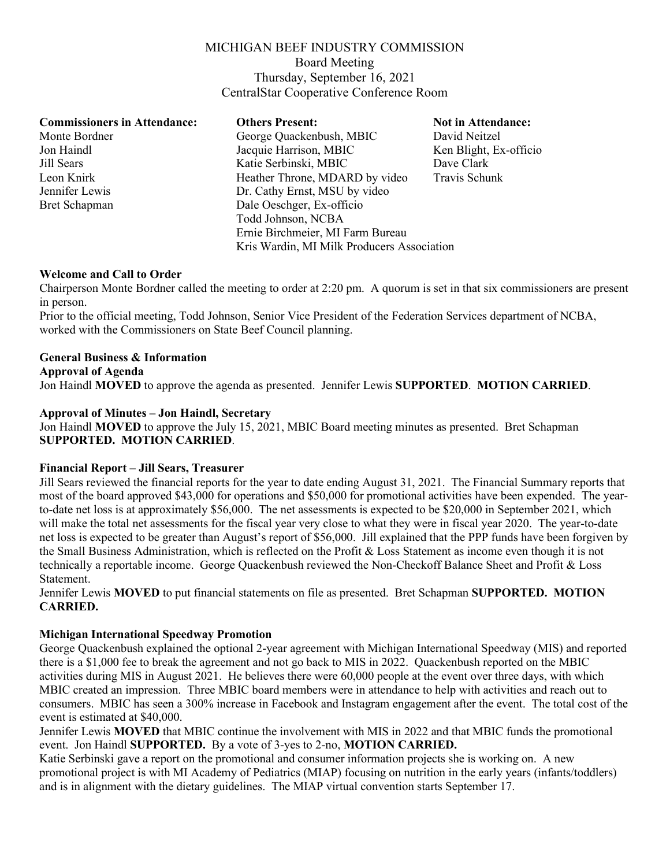# MICHIGAN BEEF INDUSTRY COMMISSION

Board Meeting Thursday, September 16, 2021 CentralStar Cooperative Conference Room

## **Commissioners in Attendance: Others Present: Not in Attendance:**

Monte Bordner George Quackenbush, MBIC David Neitzel Jon Haindl<br>
Jacquie Harrison, MBIC<br>
Katie Serbinski, MBIC<br>
Dave Clark<br>
Dave Clark Jill Sears Katie Serbinski, MBIC Leon Knirk Heather Throne, MDARD by video Travis Schunk Jennifer Lewis Dr. Cathy Ernst, MSU by video Bret Schapman Dale Oeschger, Ex-officio Todd Johnson, NCBA Ernie Birchmeier, MI Farm Bureau Kris Wardin, MI Milk Producers Association

## **Welcome and Call to Order**

Chairperson Monte Bordner called the meeting to order at 2:20 pm. A quorum is set in that six commissioners are present in person.

Prior to the official meeting, Todd Johnson, Senior Vice President of the Federation Services department of NCBA, worked with the Commissioners on State Beef Council planning.

## **General Business & Information**

#### **Approval of Agenda**

Jon Haindl **MOVED** to approve the agenda as presented. Jennifer Lewis **SUPPORTED**. **MOTION CARRIED**.

#### **Approval of Minutes – Jon Haindl, Secretary**

Jon Haindl **MOVED** to approve the July 15, 2021, MBIC Board meeting minutes as presented. Bret Schapman **SUPPORTED. MOTION CARRIED**.

#### **Financial Report – Jill Sears, Treasurer**

Jill Sears reviewed the financial reports for the year to date ending August 31, 2021. The Financial Summary reports that most of the board approved \$43,000 for operations and \$50,000 for promotional activities have been expended. The yearto-date net loss is at approximately \$56,000. The net assessments is expected to be \$20,000 in September 2021, which will make the total net assessments for the fiscal year very close to what they were in fiscal year 2020. The year-to-date net loss is expected to be greater than August's report of \$56,000. Jill explained that the PPP funds have been forgiven by the Small Business Administration, which is reflected on the Profit & Loss Statement as income even though it is not technically a reportable income. George Quackenbush reviewed the Non-Checkoff Balance Sheet and Profit & Loss Statement.

Jennifer Lewis **MOVED** to put financial statements on file as presented. Bret Schapman **SUPPORTED. MOTION CARRIED.**

## **Michigan International Speedway Promotion**

George Quackenbush explained the optional 2-year agreement with Michigan International Speedway (MIS) and reported there is a \$1,000 fee to break the agreement and not go back to MIS in 2022. Quackenbush reported on the MBIC activities during MIS in August 2021. He believes there were 60,000 people at the event over three days, with which MBIC created an impression. Three MBIC board members were in attendance to help with activities and reach out to consumers. MBIC has seen a 300% increase in Facebook and Instagram engagement after the event. The total cost of the event is estimated at \$40,000.

Jennifer Lewis **MOVED** that MBIC continue the involvement with MIS in 2022 and that MBIC funds the promotional event. Jon Haindl **SUPPORTED.** By a vote of 3-yes to 2-no, **MOTION CARRIED.**

Katie Serbinski gave a report on the promotional and consumer information projects she is working on. A new promotional project is with MI Academy of Pediatrics (MIAP) focusing on nutrition in the early years (infants/toddlers) and is in alignment with the dietary guidelines. The MIAP virtual convention starts September 17.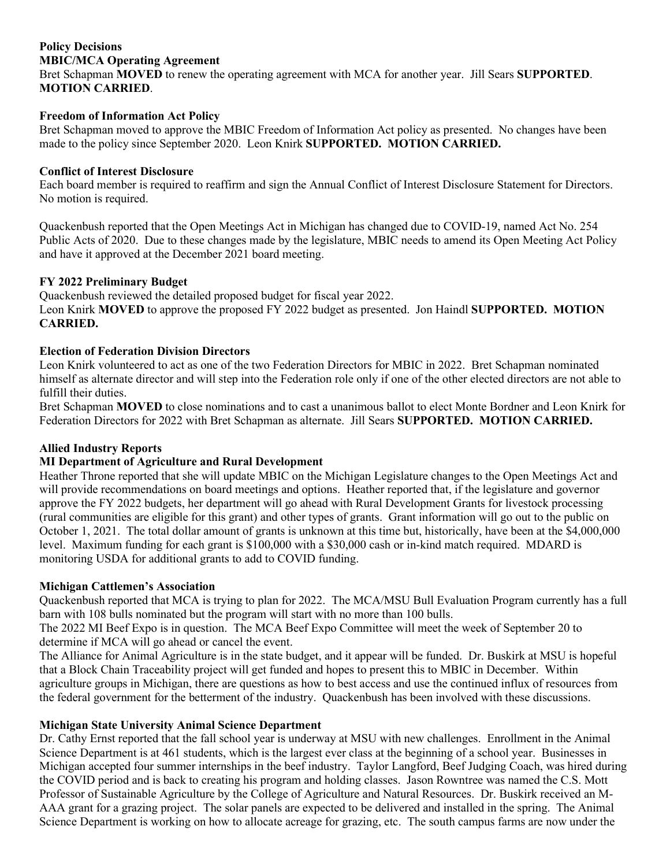## **Policy Decisions MBIC/MCA Operating Agreement**

Bret Schapman **MOVED** to renew the operating agreement with MCA for another year. Jill Sears **SUPPORTED**. **MOTION CARRIED**.

# **Freedom of Information Act Policy**

Bret Schapman moved to approve the MBIC Freedom of Information Act policy as presented. No changes have been made to the policy since September 2020. Leon Knirk **SUPPORTED. MOTION CARRIED.**

## **Conflict of Interest Disclosure**

Each board member is required to reaffirm and sign the Annual Conflict of Interest Disclosure Statement for Directors. No motion is required.

Quackenbush reported that the Open Meetings Act in Michigan has changed due to COVID-19, named Act No. 254 Public Acts of 2020. Due to these changes made by the legislature, MBIC needs to amend its Open Meeting Act Policy and have it approved at the December 2021 board meeting.

## **FY 2022 Preliminary Budget**

Quackenbush reviewed the detailed proposed budget for fiscal year 2022. Leon Knirk **MOVED** to approve the proposed FY 2022 budget as presented. Jon Haindl **SUPPORTED. MOTION CARRIED.**

## **Election of Federation Division Directors**

Leon Knirk volunteered to act as one of the two Federation Directors for MBIC in 2022. Bret Schapman nominated himself as alternate director and will step into the Federation role only if one of the other elected directors are not able to fulfill their duties.

Bret Schapman **MOVED** to close nominations and to cast a unanimous ballot to elect Monte Bordner and Leon Knirk for Federation Directors for 2022 with Bret Schapman as alternate. Jill Sears **SUPPORTED. MOTION CARRIED.**

# **Allied Industry Reports**

# **MI Department of Agriculture and Rural Development**

Heather Throne reported that she will update MBIC on the Michigan Legislature changes to the Open Meetings Act and will provide recommendations on board meetings and options. Heather reported that, if the legislature and governor approve the FY 2022 budgets, her department will go ahead with Rural Development Grants for livestock processing (rural communities are eligible for this grant) and other types of grants. Grant information will go out to the public on October 1, 2021. The total dollar amount of grants is unknown at this time but, historically, have been at the \$4,000,000 level. Maximum funding for each grant is \$100,000 with a \$30,000 cash or in-kind match required. MDARD is monitoring USDA for additional grants to add to COVID funding.

## **Michigan Cattlemen's Association**

Quackenbush reported that MCA is trying to plan for 2022. The MCA/MSU Bull Evaluation Program currently has a full barn with 108 bulls nominated but the program will start with no more than 100 bulls.

The 2022 MI Beef Expo is in question. The MCA Beef Expo Committee will meet the week of September 20 to determine if MCA will go ahead or cancel the event.

The Alliance for Animal Agriculture is in the state budget, and it appear will be funded. Dr. Buskirk at MSU is hopeful that a Block Chain Traceability project will get funded and hopes to present this to MBIC in December. Within agriculture groups in Michigan, there are questions as how to best access and use the continued influx of resources from the federal government for the betterment of the industry. Quackenbush has been involved with these discussions.

## **Michigan State University Animal Science Department**

Dr. Cathy Ernst reported that the fall school year is underway at MSU with new challenges. Enrollment in the Animal Science Department is at 461 students, which is the largest ever class at the beginning of a school year. Businesses in Michigan accepted four summer internships in the beef industry. Taylor Langford, Beef Judging Coach, was hired during the COVID period and is back to creating his program and holding classes. Jason Rowntree was named the C.S. Mott Professor of Sustainable Agriculture by the College of Agriculture and Natural Resources. Dr. Buskirk received an M-AAA grant for a grazing project. The solar panels are expected to be delivered and installed in the spring. The Animal Science Department is working on how to allocate acreage for grazing, etc. The south campus farms are now under the